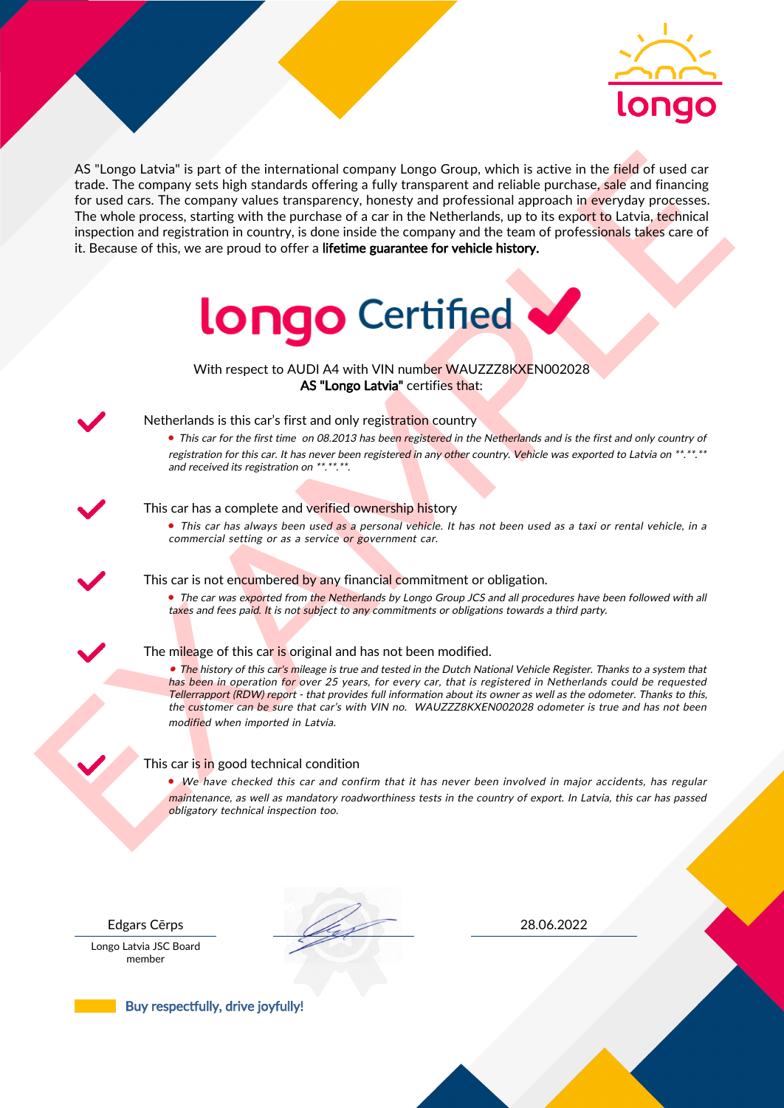

As the near the specified in the intermediate computer is a proportion of the field of used can<br>be the specified of the intermediate computer in the big control of the specified of the specified of the specified of the co AS "Longo Latvia" is part of the international company Longo Group, which is active in the field of used car trade. The company sets high standards offering a fully transparent and reliable purchase, sale and financing for used cars. The company values transparency, honesty and professional approach in everyday processes. The whole process, starting with the purchase of a car in the Netherlands, up to its export to Latvia, technical inspection and registration in country, is done inside the company and the team of professionals takes care of it. Because of this, we are proud to offer a lifetime guarantee for vehicle history.



With respect to AUDI A4 with VIN number WAUZZZ8KXEN002028 AS "Longo Latvia" certifies that:



# Netherlands is this car's first and only registration country

• This car for the first time on 08.2013 has been registered in the Netherlands and is the first and only country of registration for this car. It has never been registered in any other country. Vehicle was exported to Latvia on \*\*.\*\*.\*\* and received its registration on \*\*.\*\*.\*\*.

### This car has a complete and verified ownership history

• This car has always been used as a personal vehicle. It has not been used as a taxi or rental vehicle, in a commercial setting or as a service or government car.

This car is not encumbered by any financial commitment or obligation.

• The car was exported from the Netherlands by Longo Group JCS and all procedures have been followed with all taxes and fees paid. It is not subject to any commitments or obligations towards a third party.

### The mileage of this car is original and has not been modified.

• The history of this car's mileage is true and tested in the Dutch National Vehicle Register. Thanks to a system that has been in operation for over 25 years, for every car, that is registered in Netherlands could be requested Tellerrapport (RDW) report - that provides full information about its owner as well as the odometer. Thanks to this, the customer can be sure that car's with VIN no. WAUZZZ8KXEN002028 odometer is true and has not been modified when imported in Latvia.

### This car is in good technical condition

• We have checked this car and confirm that it has never been involved in major accidents, has regular maintenance, as well as mandatory roadworthiness tests in the country of export. In Latvia, this car has passed obligatory technical inspection too.

Longo Latvia JSC Board member

Edgars Cērps 28.06.2022

Buy respectfully, drive joyfully!